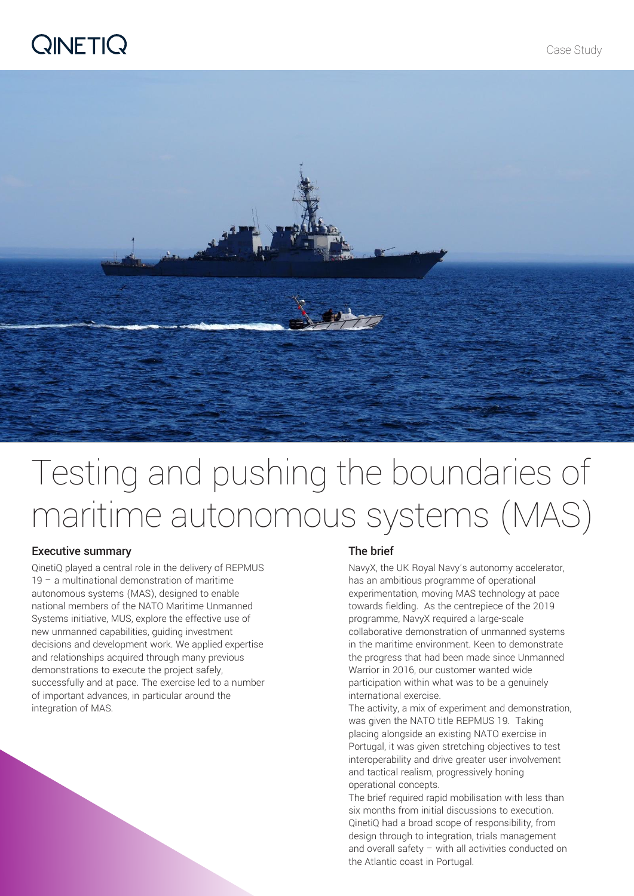### **QINETIQ**



# Testing and pushing the boundaries of maritime autonomous systems (MAS)

### Executive summary

QinetiQ played a central role in the delivery of REPMUS 19 – a multinational demonstration of maritime autonomous systems (MAS), designed to enable national members of the NATO Maritime Unmanned Systems initiative, MUS, explore the effective use of new unmanned capabilities, guiding investment decisions and development work. We applied expertise and relationships acquired through many previous demonstrations to execute the project safely, successfully and at pace. The exercise led to a number of important advances, in particular around the integration of MAS.

#### The brief

NavyX, the UK Royal Navy's autonomy accelerator, has an ambitious programme of operational experimentation, moving MAS technology at pace towards fielding. As the centrepiece of the 2019 programme, NavyX required a large-scale collaborative demonstration of unmanned systems in the maritime environment. Keen to demonstrate the progress that had been made since Unmanned Warrior in 2016, our customer wanted wide participation within what was to be a genuinely international exercise.

The activity, a mix of experiment and demonstration, was given the NATO title REPMUS 19. Taking placing alongside an existing NATO exercise in Portugal, it was given stretching objectives to test interoperability and drive greater user involvement and tactical realism, progressively honing operational concepts.

The brief required rapid mobilisation with less than six months from initial discussions to execution. QinetiQ had a broad scope of responsibility, from design through to integration, trials management and overall safety – with all activities conducted on the Atlantic coast in Portugal.